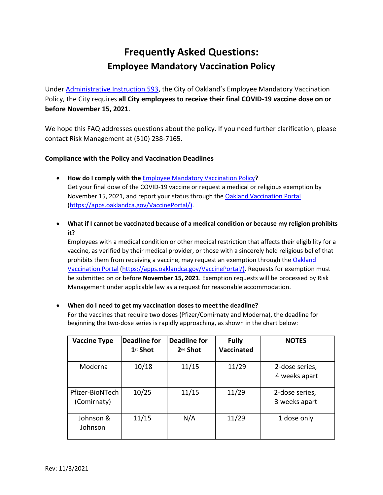# **Frequently Asked Questions: Employee Mandatory Vaccination Policy**

Under [Administrative Instruction 593,](https://cao-94612.s3.amazonaws.com/documents/Administrative-Instruction-593-Employee-Vaccination-Policy_final.pdf) the City of Oakland's [Employee Mandatory Vaccination](https://cao-94612.s3.amazonaws.com/documents/Administrative-Instruction-593-Employee-Vaccination-Policy_final.pdf)  [Policy,](https://cao-94612.s3.amazonaws.com/documents/Administrative-Instruction-593-Employee-Vaccination-Policy_final.pdf) the City requires **all City employees to receive their final COVID-19 vaccine dose on or before November 15, 2021**.

We hope this FAQ addresses questions about the policy. If you need further clarification, please contact Risk Management at (510) 238-7165.

# **Compliance with the Policy and Vaccination Deadlines**

- **How do I comply with the** [Employee Mandatory Vaccination Policy](https://cao-94612.s3.amazonaws.com/documents/Administrative-Instruction-593-Employee-Vaccination-Policy_final.pdf)**?** Get your final dose of the COVID-19 vaccine or request a medical or religious exemption by November 15, 2021, and report your status through the [Oakland Vaccination Portal](https://apps.oaklandca.gov/VaccinePortal/) [\(https://apps.oaklandca.gov/VaccinePortal/\)](https://apps.oaklandca.gov/VaccinePortal/).
- **What if I cannot be vaccinated because of a medical condition or because my religion prohibits it?**

Employees with a medical condition or other medical restriction that affects their eligibility for a vaccine, as verified by their medical provider, or those with a sincerely held religious belief that prohibits them from receiving a vaccine, may request an exemption through the [Oakland](https://apps.oaklandca.gov/VaccinePortal/)  [Vaccination Portal](https://apps.oaklandca.gov/VaccinePortal/) [\(https://apps.oaklandca.gov/VaccinePortal/\)](https://apps.oaklandca.gov/VaccinePortal/). Requests for exemption must be submitted on or before **November 15, 2021**. Exemption requests will be processed by Risk Management under applicable law as a request for reasonable accommodation.

# **When do I need to get my vaccination doses to meet the deadline?**

For the vaccines that require two doses (Pfizer/Comirnaty and Moderna), the deadline for beginning the two-dose series is rapidly approaching, as shown in the chart below:

| <b>Vaccine Type</b>            | <b>Deadline for</b><br>1 <sup>st</sup> Shot | <b>Deadline for</b><br>2 <sup>nd</sup> Shot | <b>Fully</b><br><b>Vaccinated</b> | <b>NOTES</b>                    |
|--------------------------------|---------------------------------------------|---------------------------------------------|-----------------------------------|---------------------------------|
| Moderna                        | 10/18                                       | 11/15                                       | 11/29                             | 2-dose series,<br>4 weeks apart |
| Pfizer-BioNTech<br>(Comirnaty) | 10/25                                       | 11/15                                       | 11/29                             | 2-dose series,<br>3 weeks apart |
| Johnson &<br>Johnson           | 11/15                                       | N/A                                         | 11/29                             | 1 dose only                     |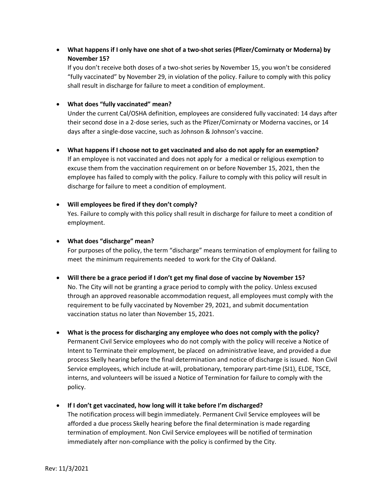**What happens if I only have one shot of a two-shot series (Pfizer/Comirnaty or Moderna) by November 15?**

If you don't receive both doses of a two-shot series by November 15, you won't be considered "fully vaccinated" by November 29, in violation of the policy. Failure to comply with this policy shall result in discharge for failure to meet a condition of employment.

## **What does "fully vaccinated" mean?**

Under the current Cal/OSHA definition, employees are considered fully vaccinated: 14 days after their second dose in a 2-dose series, such as the Pfizer/Comirnaty or Moderna vaccines, or 14 days after a single-dose vaccine, such as Johnson & Johnson's vaccine.

 **What happens if I choose not to get vaccinated and also do not apply for an exemption?** If an employee is not vaccinated and does not apply for a medical or religious exemption to excuse them from the vaccination requirement on or before November 15, 2021, then the employee has failed to comply with the policy. Failure to comply with this policy will result in discharge for failure to meet a condition of employment.

# **Will employees be fired if they don't comply?**

Yes. Failure to comply with this policy shall result in discharge for failure to meet a condition of employment.

## **What does "discharge" mean?**

For purposes of the policy, the term "discharge" means termination of employment for failing to meet the minimum requirements needed to work for the City of Oakland.

- **Will there be a grace period if I don't get my final dose of vaccine by November 15?** No. The City will not be granting a grace period to comply with the policy. Unless excused through an approved reasonable accommodation request, all employees must comply with the requirement to be fully vaccinated by November 29, 2021, and submit documentation vaccination status no later than November 15, 2021.
- **What is the process for discharging any employee who does not comply with the policy?**  Permanent Civil Service employees who do not comply with the policy will receive a Notice of Intent to Terminate their employment, be placed on administrative leave, and provided a due process Skelly hearing before the final determination and notice of discharge is issued. Non Civil Service employees, which include at-will, probationary, temporary part-time (SI1), ELDE, TSCE, interns, and volunteers will be issued a Notice of Termination for failure to comply with the policy.
- **If I don't get vaccinated, how long will it take before I'm discharged?**

The notification process will begin immediately. Permanent Civil Service employees will be afforded a due process Skelly hearing before the final determination is made regarding termination of employment. Non Civil Service employees will be notified of termination immediately after non-compliance with the policy is confirmed by the City.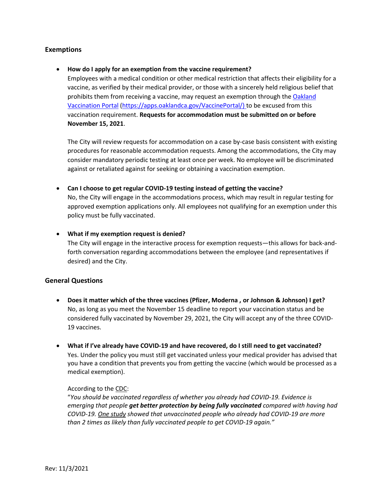# **Exemptions**

#### **How do I apply for an exemption from the vaccine requirement?**

Employees with a medical condition or other medical restriction that affects their eligibility for a vaccine, as verified by their medical provider, or those with a sincerely held religious belief that prohibits them from receiving a vaccine, may request an exemption through the [Oakland](https://apps.oaklandca.gov/VaccinePortal/)  [Vaccination Portal](https://apps.oaklandca.gov/VaccinePortal/) [\(https://apps.oaklandca.gov/VaccinePortal/\)](https://apps.oaklandca.gov/VaccinePortal/) to be excused from this vaccination requirement. **Requests for accommodation must be submitted on or before November 15, 2021**.

The City will review requests for accommodation on a case by-case basis consistent with existing procedures for reasonable accommodation requests. Among the accommodations, the City may consider mandatory periodic testing at least once per week. No employee will be discriminated against or retaliated against for seeking or obtaining a vaccination exemption.

#### **Can I choose to get regular COVID-19 testing instead of getting the vaccine?**

No, the City will engage in the accommodations process, which may result in regular testing for approved exemption applications only. All employees not qualifying for an exemption under this policy must be fully vaccinated.

#### **What if my exemption request is denied?**

The City will engage in the interactive process for exemption requests—this allows for back-andforth conversation regarding accommodations between the employee (and representatives if desired) and the City.

## **General Questions**

- **Does it matter which of the three vaccines (Pfizer, Moderna , or Johnson & Johnson) I get?** No, as long as you meet the November 15 deadline to report your vaccination status and be considered fully vaccinated by November 29, 2021, the City will accept any of the three COVID-19 vaccines.
- **What if I've already have COVID-19 and have recovered, do I still need to get vaccinated?** Yes. Under the policy you must still get vaccinated unless your medical provider has advised that you have a condition that prevents you from getting the vaccine (which would be processed as a medical exemption).

#### According to th[e CDC:](https://www.cdc.gov/coronavirus/2019-ncov/vaccines/faq.html)

"*You should be vaccinated regardless of whether you already had COVID-19. Evidence is emerging that people get better protection by being fully vaccinated compared with having had COVID-19. [One study](https://www.cdc.gov/mmwr/volumes/70/wr/mm7032e1.htm?s_cid=mm7032e1_e&ACSTrackingID=USCDC_921-DM63289&ACSTrackingLabel=MMWR%20Early%20Release%20-%20Vol.%2070%2C%20August%206%2C%202021&deliveryName=USCDC_921-DM63289) showed that unvaccinated people who already had COVID-19 are more than 2 times as likely than fully vaccinated people to get COVID-19 again."*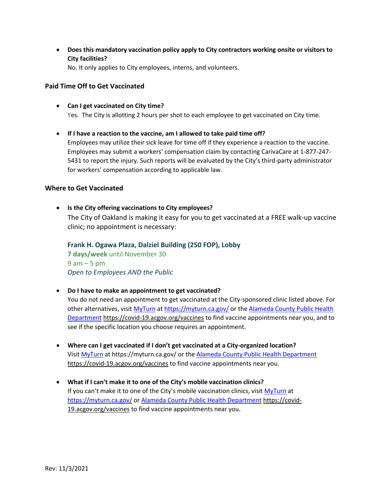**Does this mandatory vaccination policy apply to City contractors working onsite or visitors to City facilities?**

No. It only applies to City employees, interns, and volunteers.

# **Paid Time Off to Get Vaccinated**

- **Can I get vaccinated on City time?** Yes. The City is allotting 2 hours per shot to each employee to get vaccinated on City time.
- **If I have a reaction to the vaccine, am I allowed to take paid time off?**  Employees may utilize their sick leave for time off if they experience a reaction to the vaccine. Employees may submit a workers' compensation claim by contacting CarivaCare at 1-877-247- 5431 to report the injury. Such reports will be evaluated by the City's third-party administrator for workers' compensation according to applicable law.

## **Where to Get Vaccinated**

 **Is the City offering vaccinations to City employees?** The City of Oakland is making it easy for you to get vaccinated at a FREE walk-up vaccine clinic; no appointment is necessary:

**Frank H. Ogawa Plaza, Dalziel Building (250 FOP), Lobby 7 days/week** until November 30  $9$  am  $-5$  pm *Open to Employees AND the Public*

**Do I have to make an appointment to get vaccinated?**

You do not need an appointment to get vaccinated at the City-sponsored clinic listed above. For other alternatives, visi[t MyTurn](https://myturn.ca.gov/) a[t https://myturn.ca.gov/](https://myturn.ca.gov/) or the [Alameda County Public Health](https://covid-19.acgov.org/vaccines)  [Department](https://covid-19.acgov.org/vaccines) <https://covid-19.acgov.org/vaccines> to find vaccine appointments near you, and to see if the specific location you choose requires an appointment.

- **Where can I get vaccinated if I don't get vaccinated at a City-organized location?** Visit [MyTurn](https://myturn.ca.gov/) at https://myturn.ca.gov/ or the [Alameda County Public Health Department](https://covid-19.acgov.org/vaccines) <https://covid-19.acgov.org/vaccines> to find vaccine appointments near you.
- **What if I can't make it to one of the City's mobile vaccination clinics?** If you can't make it to one of the City's mobile vaccination clinics, visit [MyTurn](https://myturn.ca.gov/) at <https://myturn.ca.gov/> or [Alameda County Public Health Department](https://covid-19.acgov.org/vaccines) [https://covid-](https://covid-19.acgov.org/vaccines)[19.acgov.org/vaccines](https://covid-19.acgov.org/vaccines) to find vaccine appointments near you.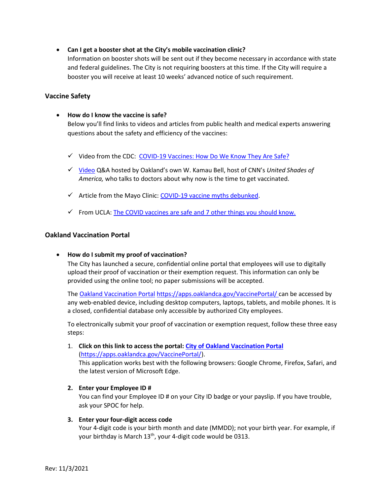**Can I get a booster shot at the City's mobile vaccination clinic?**

Information on booster shots will be sent out if they become necessary in accordance with state and federal guidelines. The City is not requiring boosters at this time. If the City will require a booster you will receive at least 10 weeks' advanced notice of such requirement.

# **Vaccine Safety**

**How do I know the vaccine is safe?**

Below you'll find links to videos and articles from public health and medical experts answering questions about the safety and efficiency of the vaccines:

- √ Video from the CDC: [COVID-19 Vaccines: How Do We Know They Are Safe?](https://youtu.be/7bBmQaX2k4w)
- [Video](https://www.youtube.com/channel/UCWJWOul1ejWYd1KeHNeg8LA?app=desktop) Q&A hosted by Oakland's own W. Kamau Bell, host of CNN's *United Shades of America,* who talks to doctors about why now is the time to get vaccinated.
- $\checkmark$  Article from the Mayo Clinic: [COVID-19 vaccine myths debunked.](https://www.mayoclinichealthsystem.org/hometown-health/featured-topic/covid-19-vaccine-myths-debunked)
- $\checkmark$  From UCLA: [The COVID vaccines are safe and 7 other things you should know.](https://www.uclahealth.org/news/the-covid19-vaccines-are-safe-and-7-other-things-you-should-know)

# **Oakland Vaccination Portal**

**How do I submit my proof of vaccination?**

The City has launched a secure, confidential online portal that employees will use to digitally upload their proof of vaccination or their exemption request. This information can only be provided using the online tool; no paper submissions will be accepted.

The [Oakland Vaccination Portal](https://apps.oaklandca.gov/VaccinePortal/) <https://apps.oaklandca.gov/VaccinePortal/> can be accessed by any web-enabled device, including desktop computers, laptops, tablets, and mobile phones. It is a closed, confidential database only accessible by authorized City employees.

To electronically submit your proof of vaccination or exemption request, follow these three easy steps:

- 1. **Click on this link to access the portal: [City of Oakland Vaccination Portal](https://apps.oaklandca.gov/VaccinePortal/)** [\(https://apps.oaklandca.gov/VaccinePortal/\)](https://apps.oaklandca.gov/VaccinePortal/). This application works best with the following browsers: Google Chrome, Firefox, Safari, and the latest version of Microsoft Edge.
- **2. Enter your Employee ID #**

You can find your Employee ID # on your City ID badge or your payslip. If you have trouble, ask your SPOC for help.

**3. Enter your four-digit access code**

Your 4-digit code is your birth month and date (MMDD); not your birth year. For example, if your birthday is March 13<sup>th</sup>, your 4-digit code would be 0313.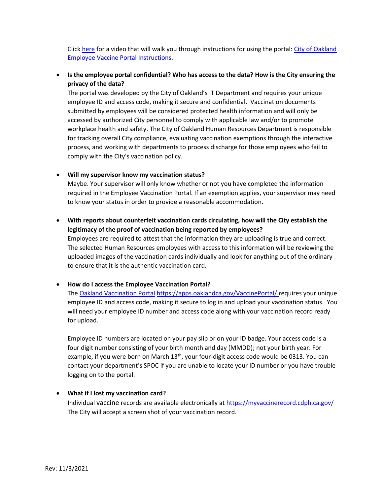Click [here](https://vimeo.com/620235006) for a video that will walk you through instructions for using the portal: [City of Oakland](https://vimeo.com/620235006)  [Employee Vaccine Portal Instructions.](https://vimeo.com/620235006)

 **Is the employee portal confidential? Who has access to the data? How is the City ensuring the privacy of the data?**

The portal was developed by the City of Oakland's IT Department and requires your unique employee ID and access code, making it secure and confidential. Vaccination documents submitted by employees will be considered protected health information and will only be accessed by authorized City personnel to comply with applicable law and/or to promote workplace health and safety. The City of Oakland Human Resources Department is responsible for tracking overall City compliance, evaluating vaccination exemptions through the interactive process, and working with departments to process discharge for those employees who fail to comply with the City's vaccination policy.

# **Will my supervisor know my vaccination status?**

Maybe. Your supervisor will only know whether or not you have completed the information required in the Employee Vaccination Portal. If an exemption applies, your supervisor may need to know your status in order to provide a reasonable accommodation.

 **With reports about counterfeit vaccination cards circulating, how will the City establish the legitimacy of the proof of vaccination being reported by employees?**

Employees are required to attest that the information they are uploading is true and correct. The selected Human Resources employees with access to this information will be reviewing the uploaded images of the vaccination cards individually and look for anything out of the ordinary to ensure that it is the authentic vaccination card.

# **How do I access the Employee Vaccination Portal?**

The [Oakland Vaccination Portal](https://apps.oaklandca.gov/VaccinePortal/) <https://apps.oaklandca.gov/VaccinePortal/> requires your unique employee ID and access code, making it secure to log in and upload your vaccination status. You will need your employee ID number and access code along with your vaccination record ready for upload.

Employee ID numbers are located on your pay slip or on your ID badge. Your access code is a four digit number consisting of your birth month and day (MMDD); not your birth year. For example, if you were born on March 13<sup>th</sup>, your four-digit access code would be 0313. You can contact your department's SPOC if you are unable to locate your ID number or you have trouble logging on to the portal.

## **What if I lost my vaccination card?**

Individual vaccine records are available electronically at<https://myvaccinerecord.cdph.ca.gov/> The City will accept a screen shot of your vaccination record.